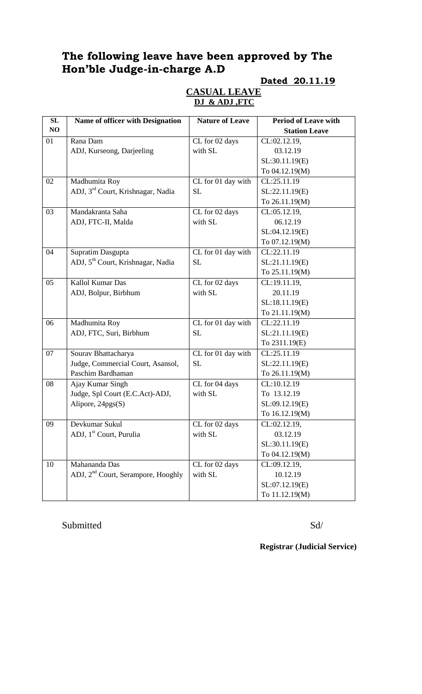# **The following leave have been approved by The Hon'ble Judge-in-charge A.D**

#### **Dated 20.11.19**

### **CASUAL LEAVE DJ & ADJ ,FTC**

| SL | <b>Name of officer with Designation</b>        | <b>Nature of Leave</b>                 | <b>Period of Leave with</b> |
|----|------------------------------------------------|----------------------------------------|-----------------------------|
| NO |                                                |                                        | <b>Station Leave</b>        |
| 01 | Rana Dam                                       | CL for 02 days                         | CL:02.12.19,                |
|    | ADJ, Kurseong, Darjeeling                      | with SL                                | 03.12.19                    |
|    |                                                |                                        | SL:30.11.19(E)              |
|    |                                                |                                        | To 04.12.19(M)              |
| 02 | Madhumita Roy                                  | CL for 01 day with                     | CL:25.11.19                 |
|    | ADJ, 3 <sup>rd</sup> Court, Krishnagar, Nadia  | <b>SL</b>                              | SL:22.11.19(E)              |
|    |                                                |                                        | To 26.11.19(M)              |
| 03 | Mandakranta Saha                               | CL for 02 days                         | CL:05.12.19,                |
|    | ADJ, FTC-II, Malda                             | with SL                                | 06.12.19                    |
|    |                                                |                                        | SL:04.12.19(E)              |
|    |                                                |                                        | To 07.12.19(M)              |
| 04 | Supratim Dasgupta                              | CL for 01 day with                     | CL:22.11.19                 |
|    | ADJ, 5 <sup>th</sup> Court, Krishnagar, Nadia  | <b>SL</b>                              | SL:21.11.19(E)              |
|    |                                                |                                        | To 25.11.19(M)              |
| 05 | Kallol Kumar Das                               | CL for 02 days                         | CL:19.11.19,                |
|    | ADJ, Bolpur, Birbhum                           | with SL                                | 20.11.19                    |
|    |                                                |                                        | SL:18.11.19(E)              |
|    |                                                |                                        | To 21.11.19(M)              |
| 06 | Madhumita Roy                                  | CL for 01 day with                     | CL:22.11.19                 |
|    | ADJ, FTC, Suri, Birbhum                        | <b>SL</b>                              | SL:21.11.19(E)              |
|    |                                                |                                        | To 2311.19(E)               |
| 07 | Sourav Bhattacharya                            | $\overline{\text{CL}}$ for 01 day with | CL:25.11.19                 |
|    | Judge, Commercial Court, Asansol,              | <b>SL</b>                              | SL:22.11.19(E)              |
|    | Paschim Bardhaman                              |                                        | To 26.11.19(M)              |
| 08 | Ajay Kumar Singh                               | CL for 04 days                         | CL:10.12.19                 |
|    | Judge, Spl Court (E.C.Act)-ADJ,                | with SL                                | To 13.12.19                 |
|    | Alipore, 24pgs(S)                              |                                        | SL:09.12.19(E)              |
|    |                                                |                                        | To 16.12.19(M)              |
| 09 | Devkumar Sukul                                 | CL for 02 days                         | CL:02.12.19,                |
|    | ADJ, 1 <sup>st</sup> Court, Purulia            | with SL                                | 03.12.19                    |
|    |                                                |                                        | SL:30.11.19(E)              |
|    |                                                |                                        | To 04.12.19(M)              |
| 10 | Mahananda Das                                  | CL for 02 days                         | CL:09.12.19,                |
|    | ADJ, 2 <sup>nd</sup> Court, Serampore, Hooghly | with SL                                | 10.12.19                    |
|    |                                                |                                        | SL:07.12.19(E)              |
|    |                                                |                                        | To 11.12.19(M)              |

### Submitted Sd/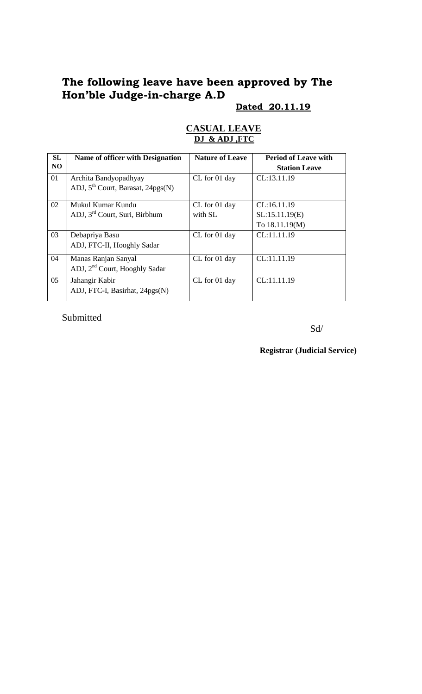# **The following leave have been approved by The Hon'ble Judge-in-charge A.D**

#### **Dated 20.11.19**

| <b>SL</b> | Name of officer with Designation          | <b>Nature of Leave</b> | <b>Period of Leave with</b> |
|-----------|-------------------------------------------|------------------------|-----------------------------|
| NO.       |                                           |                        | <b>Station Leave</b>        |
| 01        | Archita Bandyopadhyay                     | CL for 01 day          | CL:13.11.19                 |
|           | ADJ, $5^{th}$ Court, Barasat, 24pgs(N)    |                        |                             |
| 02        | Mukul Kumar Kundu                         | CL for 01 day          | CL:16.11.19                 |
|           | ADJ, 3 <sup>rd</sup> Court, Suri, Birbhum | with SL                | SL:15.11.19(E)              |
|           |                                           |                        | To 18.11.19(M)              |
| 03        | Debapriya Basu                            | CL for 01 day          | CL:11.11.19                 |
|           | ADJ, FTC-II, Hooghly Sadar                |                        |                             |
| 04        | Manas Ranjan Sanyal                       | CL for 01 day          | CL:11.11.19                 |
|           | ADJ, 2 <sup>nd</sup> Court, Hooghly Sadar |                        |                             |
| 05        | Jahangir Kabir                            | CL for 01 day          | CL:11.11.19                 |
|           | ADJ, FTC-I, Basirhat, 24pgs(N)            |                        |                             |

#### **CASUAL LEAVE DJ & ADJ ,FTC**

Submitted

Sd/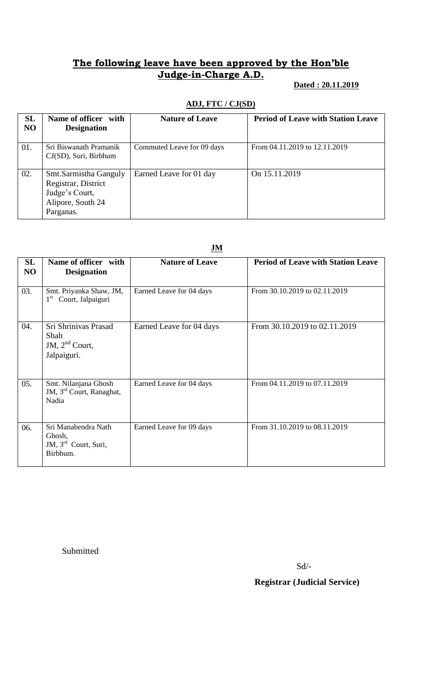## **The following leave have been approved by the Hon'ble Judge-in-Charge A.D.**

### **Dated : 20.11.2019**

| SL<br>N <sub>O</sub> | Name of officer with<br><b>Designation</b>                                                       | <b>Nature of Leave</b>     | <b>Period of Leave with Station Leave</b> |
|----------------------|--------------------------------------------------------------------------------------------------|----------------------------|-------------------------------------------|
| 01.                  | Sri Biswanath Pramanik<br>$CJ(SD)$ , Suri, Birbhum                                               | Commuted Leave for 09 days | From 04.11.2019 to 12.11.2019             |
| 02.                  | Smt.Sarmistha Ganguly<br>Registrar, District<br>Judge's Court,<br>Alipore, South 24<br>Parganas. | Earned Leave for 01 day    | On 15.11.2019                             |

#### **ADJ, FTC / CJ(SD)**

|          | $\frac{J}{M}$                                                                 |                          |                                           |
|----------|-------------------------------------------------------------------------------|--------------------------|-------------------------------------------|
| SL<br>NO | Name of officer with<br><b>Designation</b>                                    | <b>Nature of Leave</b>   | <b>Period of Leave with Station Leave</b> |
| 03.      | Smt. Priyanka Shaw, JM,<br>Court, Jalpaiguri<br>$1^{\rm st}$                  | Earned Leave for 04 days | From 30.10.2019 to 02.11.2019             |
| 04.      | Sri Shrinivas Prasad<br>Shah<br>JM, $2nd$ Court,<br>Jalpaiguri.               | Earned Leave for 04 days | From 30.10.2019 to 02.11.2019             |
| 05.      | Smt. Nilanjana Ghosh<br>JM, 3 <sup>rd</sup> Court, Ranaghat,<br>Nadia         | Earned Leave for 04 days | From 04.11.2019 to 07.11.2019             |
| 06.      | Sri Manabendra Nath<br>Ghosh,<br>JM, 3 <sup>rd</sup> Court, Suri,<br>Birbhum. | Earned Leave for 09 days | From 31.10.2019 to 08.11.2019             |

**JM**

Submitted

Sd/-